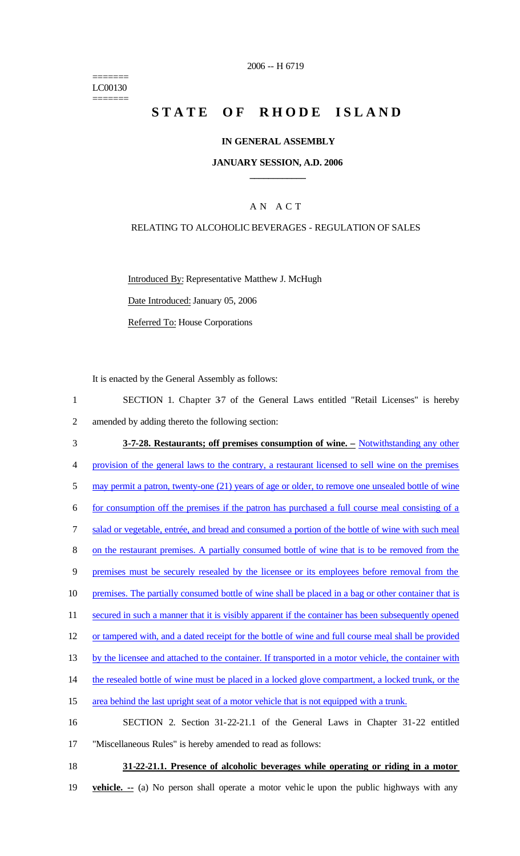======= LC00130 =======

# **STATE OF RHODE ISLAND**

## **IN GENERAL ASSEMBLY**

#### **JANUARY SESSION, A.D. 2006 \_\_\_\_\_\_\_\_\_\_\_\_**

### A N A C T

#### RELATING TO ALCOHOLIC BEVERAGES - REGULATION OF SALES

Introduced By: Representative Matthew J. McHugh

Date Introduced: January 05, 2006

Referred To: House Corporations

It is enacted by the General Assembly as follows:

1 SECTION 1. Chapter 37 of the General Laws entitled "Retail Licenses" is hereby 2 amended by adding thereto the following section:

3 **3-7-28. Restaurants; off premises consumption of wine. –** Notwithstanding any other 4 provision of the general laws to the contrary, a restaurant licensed to sell wine on the premises 5 may permit a patron, twenty-one (21) years of age or older, to remove one unsealed bottle of wine 6 for consumption off the premises if the patron has purchased a full course meal consisting of a 7 salad or vegetable, entrée, and bread and consumed a portion of the bottle of wine with such meal 8 on the restaurant premises. A partially consumed bottle of wine that is to be removed from the 9 premises must be securely resealed by the licensee or its employees before removal from the 10 premises. The partially consumed bottle of wine shall be placed in a bag or other container that is 11 secured in such a manner that it is visibly apparent if the container has been subsequently opened 12 or tampered with, and a dated receipt for the bottle of wine and full course meal shall be provided 13 by the licensee and attached to the container. If transported in a motor vehicle, the container with 14 the resealed bottle of wine must be placed in a locked glove compartment, a locked trunk, or the 15 area behind the last upright seat of a motor vehicle that is not equipped with a trunk. 16 SECTION 2. Section 31-22-21.1 of the General Laws in Chapter 31-22 entitled 17 "Miscellaneous Rules" is hereby amended to read as follows:

18 **31-22-21.1. Presence of alcoholic beverages while operating or riding in a motor** 

19 **vehicle. --** (a) No person shall operate a motor vehic le upon the public highways with any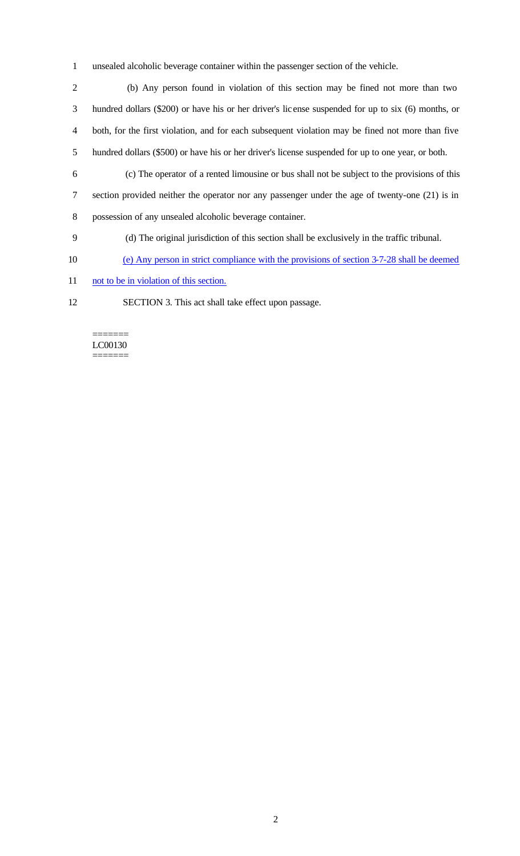- 1 unsealed alcoholic beverage container within the passenger section of the vehicle.
- 2 (b) Any person found in violation of this section may be fined not more than two 3 hundred dollars (\$200) or have his or her driver's lic ense suspended for up to six (6) months, or 4 both, for the first violation, and for each subsequent violation may be fined not more than five 5 hundred dollars (\$500) or have his or her driver's license suspended for up to one year, or both.
- 6 (c) The operator of a rented limousine or bus shall not be subject to the provisions of this
- 7 section provided neither the operator nor any passenger under the age of twenty-one (21) is in 8 possession of any unsealed alcoholic beverage container.
- 9 (d) The original jurisdiction of this section shall be exclusively in the traffic tribunal.
- 10 (e) Any person in strict compliance with the provisions of section 3-7-28 shall be deemed
- 11 not to be in violation of this section.
- 12 SECTION 3. This act shall take effect upon passage.

======= LC00130 =======